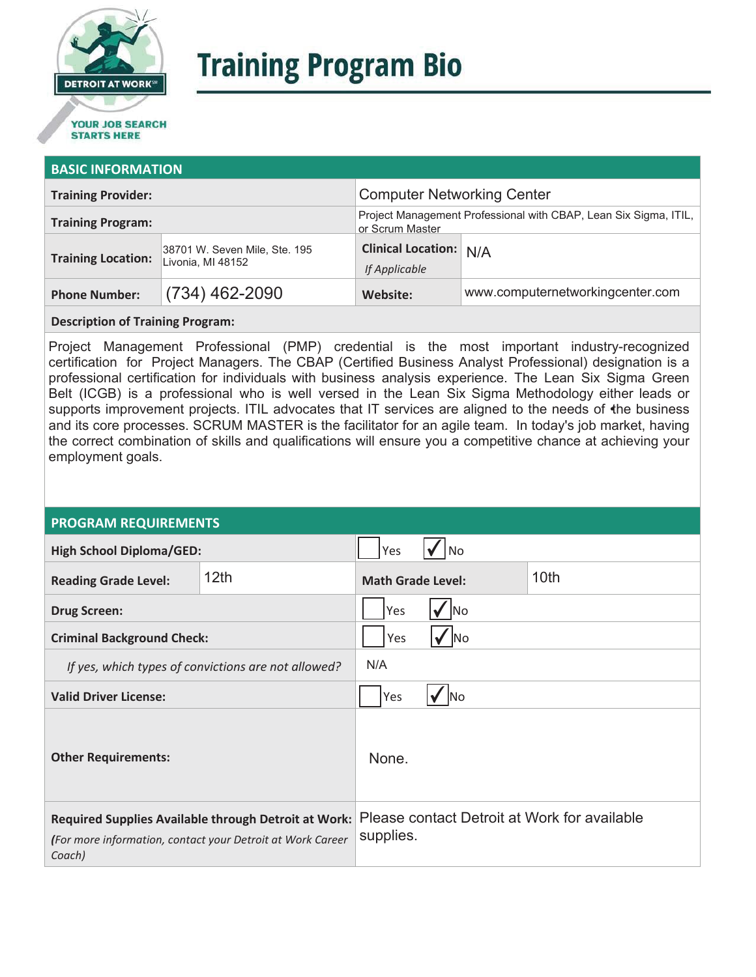

# **Training Program Bio**

## **STARTS HERE**

#### **BASIC INFORMATION**

| <b>Training Provider:</b> |                                                    | <b>Computer Networking Center</b>                                                   |                                  |  |
|---------------------------|----------------------------------------------------|-------------------------------------------------------------------------------------|----------------------------------|--|
| <b>Training Program:</b>  |                                                    | Project Management Professional with CBAP, Lean Six Sigma, ITIL,<br>or Scrum Master |                                  |  |
| <b>Training Location:</b> | 38701 W. Seven Mile, Ste. 195<br>Livonia, MI 48152 | <b>Clinical Location:</b> N/A<br>If Applicable                                      |                                  |  |
| <b>Phone Number:</b>      | $(734)$ 462-2090                                   | Website:                                                                            | www.computernetworkingcenter.com |  |
|                           |                                                    |                                                                                     |                                  |  |

#### **Description of Training Program:**

Project Management Professional (PMP) credential is the most important industry-recognized certification for Project Managers. The CBAP (Certified Business Analyst Professional) designation is a professional certification for individuals with business analysis experience. The Lean Six Sigma Green Belt (ICGB) is a professional who is well versed in the Lean Six Sigma Methodology either leads or supports improvement projects. ITIL advocates that IT services are aligned to the needs of the business and its core processes. SCRUM MASTER is the facilitator for an agile team. In today's job market, having the correct combination of skills and qualifications will ensure you a competitive chance at achieving your employment goals.

#### **PROGRAM REQUIREMENTS**

| <b>High School Diploma/GED:</b>                                                                                              |                  | Yes                                                       | l No |                  |
|------------------------------------------------------------------------------------------------------------------------------|------------------|-----------------------------------------------------------|------|------------------|
| <b>Reading Grade Level:</b>                                                                                                  | 12 <sub>th</sub> | <b>Math Grade Level:</b>                                  |      | 10 <sub>th</sub> |
| <b>Drug Screen:</b>                                                                                                          |                  | Yes<br>No                                                 |      |                  |
| <b>Criminal Background Check:</b>                                                                                            |                  | Yes<br><b>No</b>                                          |      |                  |
| If yes, which types of convictions are not allowed?                                                                          |                  | N/A                                                       |      |                  |
| <b>Valid Driver License:</b>                                                                                                 |                  | Yes<br><b>No</b>                                          |      |                  |
| <b>Other Requirements:</b>                                                                                                   |                  | None.                                                     |      |                  |
| Required Supplies Available through Detroit at Work:<br>(For more information, contact your Detroit at Work Career<br>Coach) |                  | Please contact Detroit at Work for available<br>supplies. |      |                  |